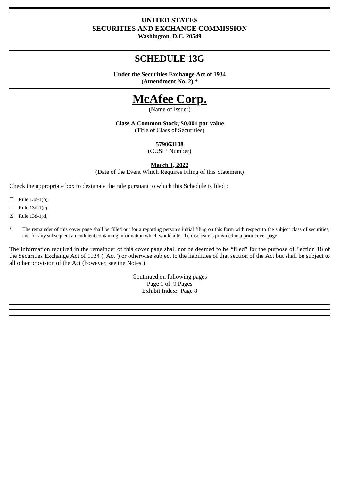## **UNITED STATES SECURITIES AND EXCHANGE COMMISSION Washington, D.C. 20549**

## **SCHEDULE 13G**

**Under the Securities Exchange Act of 1934 (Amendment No. 2) \***

# **McAfee Corp.**

(Name of Issuer)

**Class A Common Stock, \$0.001 par value**

(Title of Class of Securities)

**579063108**

(CUSIP Number)

**March 1, 2022**

(Date of the Event Which Requires Filing of this Statement)

Check the appropriate box to designate the rule pursuant to which this Schedule is filed :

- $\Box$  Rule 13d-1(b)
- $\Box$  Rule 13d-1(c)
- ☒ Rule 13d-1(d)
- The remainder of this cover page shall be filled out for a reporting person's initial filing on this form with respect to the subject class of securities, and for any subsequent amendment containing information which would alter the disclosures provided in a prior cover page.

The information required in the remainder of this cover page shall not be deemed to be "filed" for the purpose of Section 18 of the Securities Exchange Act of 1934 ("Act") or otherwise subject to the liabilities of that section of the Act but shall be subject to all other provision of the Act (however, see the Notes.)

> Continued on following pages Page 1 of 9 Pages Exhibit Index: Page 8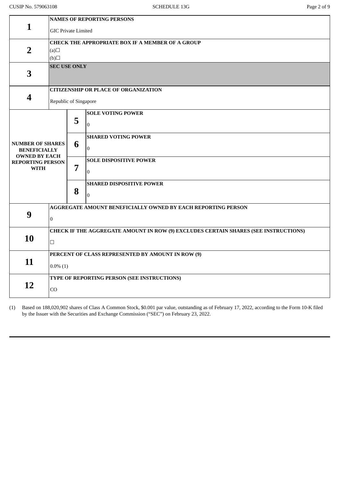|                                                 | <b>NAMES OF REPORTING PERSONS</b>                                                   |                            |                                                              |  |  |
|-------------------------------------------------|-------------------------------------------------------------------------------------|----------------------------|--------------------------------------------------------------|--|--|
| $\mathbf{1}$                                    |                                                                                     | <b>GIC Private Limited</b> |                                                              |  |  |
|                                                 | CHECK THE APPROPRIATE BOX IF A MEMBER OF A GROUP                                    |                            |                                                              |  |  |
| $\overline{2}$                                  | (a)                                                                                 |                            |                                                              |  |  |
|                                                 | (b)                                                                                 |                            |                                                              |  |  |
| 3                                               | <b>SEC USE ONLY</b>                                                                 |                            |                                                              |  |  |
|                                                 | <b>CITIZENSHIP OR PLACE OF ORGANIZATION</b>                                         |                            |                                                              |  |  |
| $\overline{\mathbf{4}}$                         | Republic of Singapore                                                               |                            |                                                              |  |  |
|                                                 |                                                                                     |                            | <b>SOLE VOTING POWER</b>                                     |  |  |
|                                                 |                                                                                     | 5                          | $\Omega$                                                     |  |  |
|                                                 |                                                                                     |                            | <b>SHARED VOTING POWER</b>                                   |  |  |
| <b>NUMBER OF SHARES</b><br><b>BENEFICIALLY</b>  |                                                                                     | 6                          | $\overline{0}$                                               |  |  |
| <b>OWNED BY EACH</b><br><b>REPORTING PERSON</b> |                                                                                     |                            | <b>SOLE DISPOSITIVE POWER</b>                                |  |  |
| <b>WITH</b>                                     |                                                                                     | 7                          | $\Omega$                                                     |  |  |
|                                                 |                                                                                     |                            | <b>SHARED DISPOSITIVE POWER</b>                              |  |  |
|                                                 |                                                                                     | 8                          | $\boldsymbol{0}$                                             |  |  |
|                                                 |                                                                                     |                            |                                                              |  |  |
|                                                 |                                                                                     |                            | AGGREGATE AMOUNT BENEFICIALLY OWNED BY EACH REPORTING PERSON |  |  |
| 9                                               | $\overline{0}$                                                                      |                            |                                                              |  |  |
|                                                 | CHECK IF THE AGGREGATE AMOUNT IN ROW (9) EXCLUDES CERTAIN SHARES (SEE INSTRUCTIONS) |                            |                                                              |  |  |
| 10                                              | $\Box$                                                                              |                            |                                                              |  |  |
|                                                 | PERCENT OF CLASS REPRESENTED BY AMOUNT IN ROW (9)                                   |                            |                                                              |  |  |
| 11                                              | $0.0\%$ (1)                                                                         |                            |                                                              |  |  |
|                                                 | TYPE OF REPORTING PERSON (SEE INSTRUCTIONS)                                         |                            |                                                              |  |  |
| 12                                              | CO                                                                                  |                            |                                                              |  |  |

(1) Based on 188,020,902 shares of Class A Common Stock, \$0.001 par value, outstanding as of February 17, 2022, according to the Form 10-K filed by the Issuer with the Securities and Exchange Commission ("SEC") on February 23, 2022.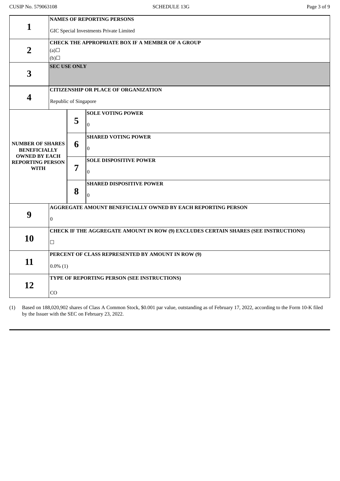|                                                                        | <b>NAMES OF REPORTING PERSONS</b>                                                   |                            |                                                              |  |  |
|------------------------------------------------------------------------|-------------------------------------------------------------------------------------|----------------------------|--------------------------------------------------------------|--|--|
| $\mathbf{1}$                                                           | GIC Special Investments Private Limited                                             |                            |                                                              |  |  |
|                                                                        | CHECK THE APPROPRIATE BOX IF A MEMBER OF A GROUP                                    |                            |                                                              |  |  |
| $\overline{2}$                                                         | (a)                                                                                 |                            |                                                              |  |  |
|                                                                        |                                                                                     | (b)<br><b>SEC USE ONLY</b> |                                                              |  |  |
| 3                                                                      |                                                                                     |                            |                                                              |  |  |
|                                                                        | <b>CITIZENSHIP OR PLACE OF ORGANIZATION</b>                                         |                            |                                                              |  |  |
| $\overline{\mathbf{4}}$                                                | Republic of Singapore                                                               |                            |                                                              |  |  |
|                                                                        |                                                                                     |                            | <b>SOLE VOTING POWER</b>                                     |  |  |
|                                                                        |                                                                                     | 5                          | $\Omega$                                                     |  |  |
|                                                                        |                                                                                     |                            | <b>SHARED VOTING POWER</b>                                   |  |  |
| <b>NUMBER OF SHARES</b><br><b>BENEFICIALLY</b><br><b>OWNED BY EACH</b> |                                                                                     | 6                          | $\Omega$                                                     |  |  |
| <b>REPORTING PERSON</b>                                                |                                                                                     |                            | <b>SOLE DISPOSITIVE POWER</b>                                |  |  |
| <b>WITH</b>                                                            |                                                                                     | 7                          | $\Omega$                                                     |  |  |
|                                                                        |                                                                                     |                            | <b>SHARED DISPOSITIVE POWER</b>                              |  |  |
|                                                                        |                                                                                     | 8                          | $\mathbf{0}$                                                 |  |  |
|                                                                        |                                                                                     |                            | AGGREGATE AMOUNT BENEFICIALLY OWNED BY EACH REPORTING PERSON |  |  |
| 9                                                                      | $\overline{0}$                                                                      |                            |                                                              |  |  |
|                                                                        | CHECK IF THE AGGREGATE AMOUNT IN ROW (9) EXCLUDES CERTAIN SHARES (SEE INSTRUCTIONS) |                            |                                                              |  |  |
| 10                                                                     | $\Box$                                                                              |                            |                                                              |  |  |
|                                                                        | PERCENT OF CLASS REPRESENTED BY AMOUNT IN ROW (9)                                   |                            |                                                              |  |  |
| 11                                                                     | $0.0\%$ (1)                                                                         |                            |                                                              |  |  |
|                                                                        | TYPE OF REPORTING PERSON (SEE INSTRUCTIONS)                                         |                            |                                                              |  |  |
| 12                                                                     | CO                                                                                  |                            |                                                              |  |  |

(1) Based on 188,020,902 shares of Class A Common Stock, \$0.001 par value, outstanding as of February 17, 2022, according to the Form 10-K filed by the Issuer with the SEC on February 23, 2022.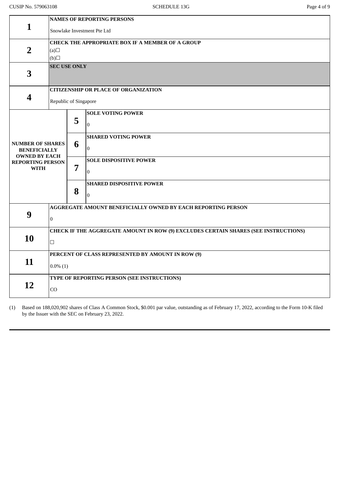|                                             | <b>NAMES OF REPORTING PERSONS</b>                                                   |   |                                                              |  |  |  |
|---------------------------------------------|-------------------------------------------------------------------------------------|---|--------------------------------------------------------------|--|--|--|
|                                             | $\mathbf{1}$<br>Snowlake Investment Pte Ltd                                         |   |                                                              |  |  |  |
|                                             | <b>CHECK THE APPROPRIATE BOX IF A MEMBER OF A GROUP</b>                             |   |                                                              |  |  |  |
| $\overline{2}$                              | (a)                                                                                 |   |                                                              |  |  |  |
|                                             | $\Box$ (d)                                                                          |   |                                                              |  |  |  |
| 3                                           | <b>SEC USE ONLY</b>                                                                 |   |                                                              |  |  |  |
|                                             |                                                                                     |   |                                                              |  |  |  |
|                                             | <b>CITIZENSHIP OR PLACE OF ORGANIZATION</b>                                         |   |                                                              |  |  |  |
| 4                                           | Republic of Singapore                                                               |   |                                                              |  |  |  |
|                                             |                                                                                     |   | <b>SOLE VOTING POWER</b>                                     |  |  |  |
|                                             |                                                                                     | 5 | $\Omega$                                                     |  |  |  |
|                                             |                                                                                     |   | <b>SHARED VOTING POWER</b>                                   |  |  |  |
| <b>NUMBER OF SHARES</b>                     |                                                                                     | 6 |                                                              |  |  |  |
| <b>BENEFICIALLY</b><br><b>OWNED BY EACH</b> |                                                                                     |   | $\overline{0}$                                               |  |  |  |
| <b>REPORTING PERSON</b>                     |                                                                                     |   | <b>SOLE DISPOSITIVE POWER</b>                                |  |  |  |
| <b>WITH</b>                                 |                                                                                     | 7 | $\overline{0}$                                               |  |  |  |
|                                             |                                                                                     |   | <b>SHARED DISPOSITIVE POWER</b>                              |  |  |  |
|                                             |                                                                                     | 8 |                                                              |  |  |  |
|                                             |                                                                                     |   | $\overline{0}$                                               |  |  |  |
|                                             |                                                                                     |   | AGGREGATE AMOUNT BENEFICIALLY OWNED BY EACH REPORTING PERSON |  |  |  |
| 9                                           | $\overline{0}$                                                                      |   |                                                              |  |  |  |
|                                             | CHECK IF THE AGGREGATE AMOUNT IN ROW (9) EXCLUDES CERTAIN SHARES (SEE INSTRUCTIONS) |   |                                                              |  |  |  |
| 10                                          | $\Box$                                                                              |   |                                                              |  |  |  |
|                                             |                                                                                     |   |                                                              |  |  |  |
| 11                                          | PERCENT OF CLASS REPRESENTED BY AMOUNT IN ROW (9)                                   |   |                                                              |  |  |  |
|                                             | $0.0\%$ (1)                                                                         |   |                                                              |  |  |  |
|                                             | TYPE OF REPORTING PERSON (SEE INSTRUCTIONS)                                         |   |                                                              |  |  |  |
| 12                                          | CO                                                                                  |   |                                                              |  |  |  |
|                                             |                                                                                     |   |                                                              |  |  |  |

(1) Based on 188,020,902 shares of Class A Common Stock, \$0.001 par value, outstanding as of February 17, 2022, according to the Form 10-K filed by the Issuer with the SEC on February 23, 2022.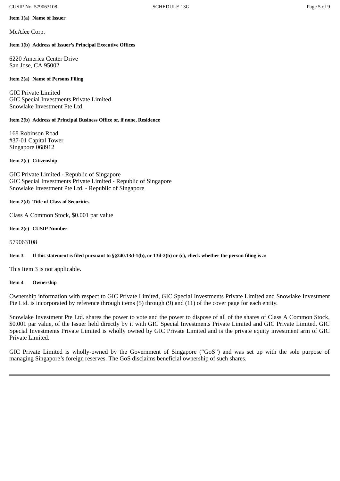#### CUSIP No. 579063108 Page 5 of 9

## **Item 1(a) Name of Issuer**

McAfee Corp.

## **Item 1(b) Address of Issuer's Principal Executive Offices**

6220 America Center Drive San Jose, CA 95002

## **Item 2(a) Name of Persons Filing**

GIC Private Limited GIC Special Investments Private Limited Snowlake Investment Pte Ltd.

## **Item 2(b) Address of Principal Business Office or, if none, Residence**

168 Robinson Road #37-01 Capital Tower Singapore 068912

## **Item 2(c) Citizenship**

GIC Private Limited - Republic of Singapore GIC Special Investments Private Limited - Republic of Singapore Snowlake Investment Pte Ltd. - Republic of Singapore

## **Item 2(d) Title of Class of Securities**

Class A Common Stock, \$0.001 par value

**Item 2(e) CUSIP Number**

## 579063108

Item 3 If this statement is filed pursuant to §§240.13d-1(b), or 13d-2(b) or (c), check whether the person filing is a:

This Item 3 is not applicable.

## **Item 4 Ownership**

Ownership information with respect to GIC Private Limited, GIC Special Investments Private Limited and Snowlake Investment Pte Ltd. is incorporated by reference through items (5) through (9) and (11) of the cover page for each entity.

Snowlake Investment Pte Ltd. shares the power to vote and the power to dispose of all of the shares of Class A Common Stock, \$0.001 par value, of the Issuer held directly by it with GIC Special Investments Private Limited and GIC Private Limited. GIC Special Investments Private Limited is wholly owned by GIC Private Limited and is the private equity investment arm of GIC Private Limited.

GIC Private Limited is wholly-owned by the Government of Singapore ("GoS") and was set up with the sole purpose of managing Singapore's foreign reserves. The GoS disclaims beneficial ownership of such shares.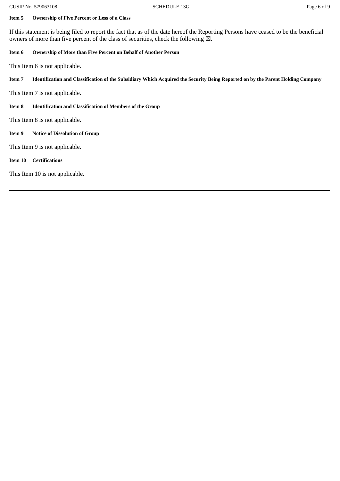#### **Item 5 Ownership of Five Percent or Less of a Class**

If this statement is being filed to report the fact that as of the date hereof the Reporting Persons have ceased to be the beneficial owners of more than five percent of the class of securities, check the following  $\boxtimes$ .

#### **Item 6 Ownership of More than Five Percent on Behalf of Another Person**

This Item 6 is not applicable.

Item 7 Identification and Classification of the Subsidiary Which Acquired the Security Being Reported on by the Parent Holding Company

This Item 7 is not applicable.

**Item 8 Identification and Classification of Members of the Group**

This Item 8 is not applicable.

**Item 9 Notice of Dissolution of Group**

This Item 9 is not applicable.

**Item 10 Certifications**

This Item 10 is not applicable.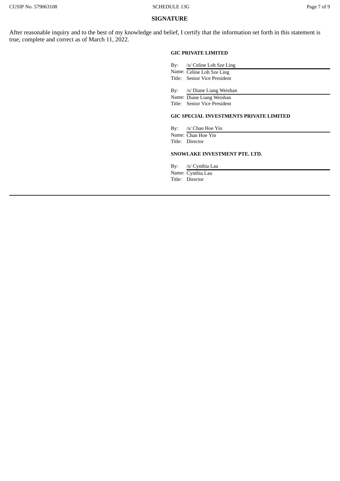#### **SIGNATURE**

After reasonable inquiry and to the best of my knowledge and belief, I certify that the information set forth in this statement is true, complete and correct as of March 11, 2022.

#### **GIC PRIVATE LIMITED**

| By: /s/ Celine Loh Sze Ling  |
|------------------------------|
| Name: Celine Loh Sze Ling    |
| Title: Senior Vice President |
|                              |
| By: /s/ Diane Liang Weishan  |

Name: Diane Liang Weishan

Title: Senior Vice President

#### **GIC SPECIAL INVESTMENTS PRIVATE LIMITED**

By: /s/ Chan Hoe Yin Name: Chan Hoe Yin Title: Director

#### **SNOWLAKE INVESTMENT PTE. LTD.**

By: /s/ Cynthia Lau

Name: Cynthia Lau Title: Director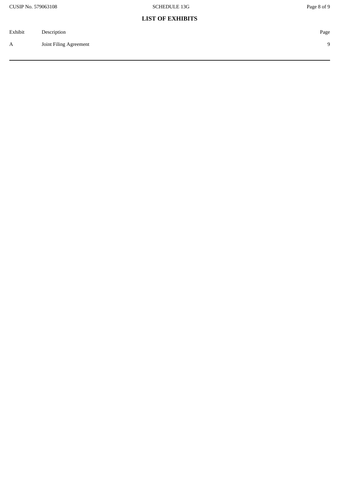## **LIST OF EXHIBITS**

| Exhibit | Description            | Page     |
|---------|------------------------|----------|
| A       | Joint Filing Agreement | $\Omega$ |